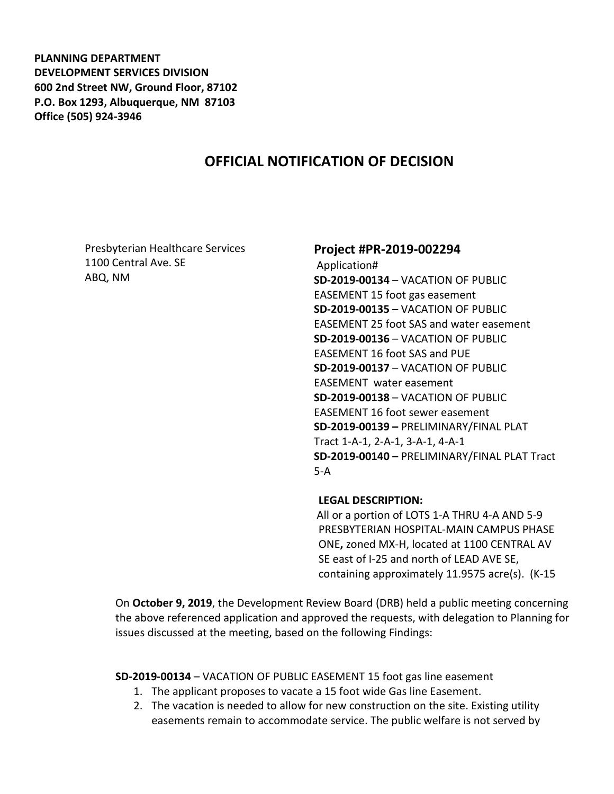**PLANNING DEPARTMENT DEVELOPMENT SERVICES DIVISION 600 2nd Street NW, Ground Floor, 87102 P.O. Box 1293, Albuquerque, NM 87103 Office (505) 924-3946** 

# **OFFICIAL NOTIFICATION OF DECISION**

Presbyterian Healthcare Services 1100 Central Ave. SE ABQ, NM

## **Project #PR-2019-002294**

Application# **SD-2019-00134** – VACATION OF PUBLIC EASEMENT 15 foot gas easement **SD-2019-00135** – VACATION OF PUBLIC EASEMENT 25 foot SAS and water easement **SD-2019-00136** – VACATION OF PUBLIC EASEMENT 16 foot SAS and PUE **SD-2019-00137** – VACATION OF PUBLIC EASEMENT water easement **SD-2019-00138** – VACATION OF PUBLIC EASEMENT 16 foot sewer easement **SD-2019-00139 –** PRELIMINARY/FINAL PLAT Tract 1-A-1, 2-A-1, 3-A-1, 4-A-1 **SD-2019-00140 –** PRELIMINARY/FINAL PLAT Tract 5-A

#### **LEGAL DESCRIPTION:**

All or a portion of LOTS 1-A THRU 4-A AND 5-9 PRESBYTERIAN HOSPITAL-MAIN CAMPUS PHASE ONE**,** zoned MX-H, located at 1100 CENTRAL AV SE east of I-25 and north of LEAD AVE SE, containing approximately 11.9575 acre(s). (K-15

On **October 9, 2019**, the Development Review Board (DRB) held a public meeting concerning the above referenced application and approved the requests, with delegation to Planning for issues discussed at the meeting, based on the following Findings:

**SD-2019-00134** – VACATION OF PUBLIC EASEMENT 15 foot gas line easement

- 1. The applicant proposes to vacate a 15 foot wide Gas line Easement.
- 2. The vacation is needed to allow for new construction on the site. Existing utility easements remain to accommodate service. The public welfare is not served by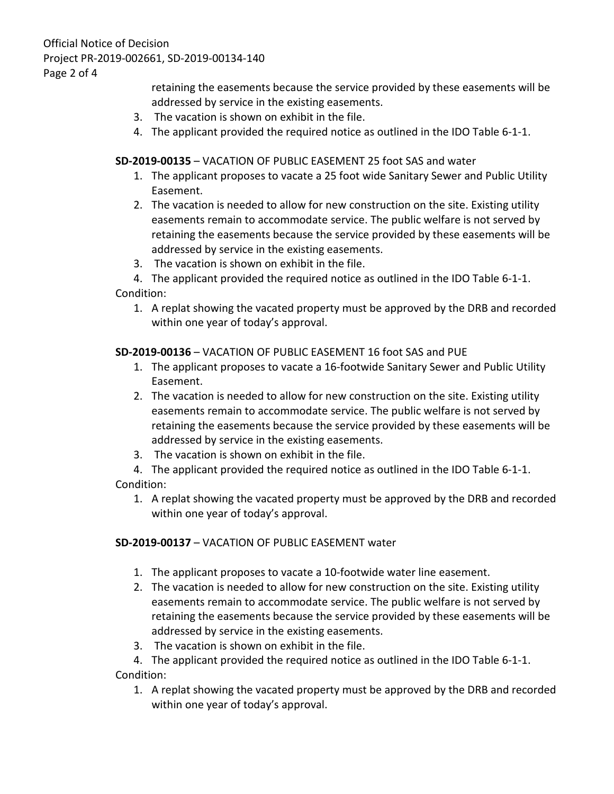Official Notice of Decision Project PR-2019-002661, SD-2019-00134-140 Page 2 of 4

> retaining the easements because the service provided by these easements will be addressed by service in the existing easements.

- 3. The vacation is shown on exhibit in the file.
- 4. The applicant provided the required notice as outlined in the IDO Table 6-1-1.

## **SD-2019-00135** – VACATION OF PUBLIC EASEMENT 25 foot SAS and water

- 1. The applicant proposes to vacate a 25 foot wide Sanitary Sewer and Public Utility Easement.
- 2. The vacation is needed to allow for new construction on the site. Existing utility easements remain to accommodate service. The public welfare is not served by retaining the easements because the service provided by these easements will be addressed by service in the existing easements.
- 3. The vacation is shown on exhibit in the file.

4. The applicant provided the required notice as outlined in the IDO Table 6-1-1. Condition:

1. A replat showing the vacated property must be approved by the DRB and recorded within one year of today's approval.

**SD-2019-00136** – VACATION OF PUBLIC EASEMENT 16 foot SAS and PUE

- 1. The applicant proposes to vacate a 16-footwide Sanitary Sewer and Public Utility Easement.
- 2. The vacation is needed to allow for new construction on the site. Existing utility easements remain to accommodate service. The public welfare is not served by retaining the easements because the service provided by these easements will be addressed by service in the existing easements.
- 3. The vacation is shown on exhibit in the file.

4. The applicant provided the required notice as outlined in the IDO Table 6-1-1. Condition:

1. A replat showing the vacated property must be approved by the DRB and recorded within one year of today's approval.

## **SD-2019-00137** – VACATION OF PUBLIC EASEMENT water

- 1. The applicant proposes to vacate a 10-footwide water line easement.
- 2. The vacation is needed to allow for new construction on the site. Existing utility easements remain to accommodate service. The public welfare is not served by retaining the easements because the service provided by these easements will be addressed by service in the existing easements.
- 3. The vacation is shown on exhibit in the file.

4. The applicant provided the required notice as outlined in the IDO Table 6-1-1. Condition:

1. A replat showing the vacated property must be approved by the DRB and recorded within one year of today's approval.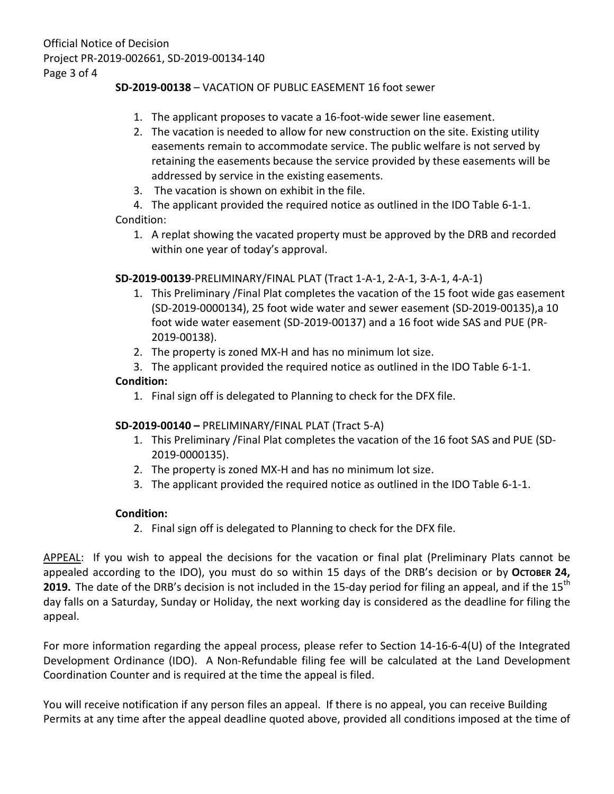## **SD-2019-00138** – VACATION OF PUBLIC EASEMENT 16 foot sewer

- 1. The applicant proposes to vacate a 16-foot-wide sewer line easement.
- 2. The vacation is needed to allow for new construction on the site. Existing utility easements remain to accommodate service. The public welfare is not served by retaining the easements because the service provided by these easements will be addressed by service in the existing easements.
- 3. The vacation is shown on exhibit in the file.

4. The applicant provided the required notice as outlined in the IDO Table 6-1-1. Condition:

1. A replat showing the vacated property must be approved by the DRB and recorded within one year of today's approval.

### **SD-2019-00139**-PRELIMINARY/FINAL PLAT (Tract 1-A-1, 2-A-1, 3-A-1, 4-A-1)

- 1. This Preliminary /Final Plat completes the vacation of the 15 foot wide gas easement (SD-2019-0000134), 25 foot wide water and sewer easement (SD-2019-00135),a 10 foot wide water easement (SD-2019-00137) and a 16 foot wide SAS and PUE (PR-2019-00138).
- 2. The property is zoned MX-H and has no minimum lot size.
- 3. The applicant provided the required notice as outlined in the IDO Table 6-1-1.

### **Condition:**

1. Final sign off is delegated to Planning to check for the DFX file.

### **SD-2019-00140 –** PRELIMINARY/FINAL PLAT (Tract 5-A)

- 1. This Preliminary /Final Plat completes the vacation of the 16 foot SAS and PUE (SD-2019-0000135).
- 2. The property is zoned MX-H and has no minimum lot size.
- 3. The applicant provided the required notice as outlined in the IDO Table 6-1-1.

### **Condition:**

2. Final sign off is delegated to Planning to check for the DFX file.

APPEAL: If you wish to appeal the decisions for the vacation or final plat (Preliminary Plats cannot be appealed according to the IDO), you must do so within 15 days of the DRB's decision or by OCTOBER 24, **2019.** The date of the DRB's decision is not included in the 15-day period for filing an appeal, and if the 15<sup>th</sup> day falls on a Saturday, Sunday or Holiday, the next working day is considered as the deadline for filing the appeal.

For more information regarding the appeal process, please refer to Section 14-16-6-4(U) of the Integrated Development Ordinance (IDO). A Non-Refundable filing fee will be calculated at the Land Development Coordination Counter and is required at the time the appeal is filed.

You will receive notification if any person files an appeal. If there is no appeal, you can receive Building Permits at any time after the appeal deadline quoted above, provided all conditions imposed at the time of